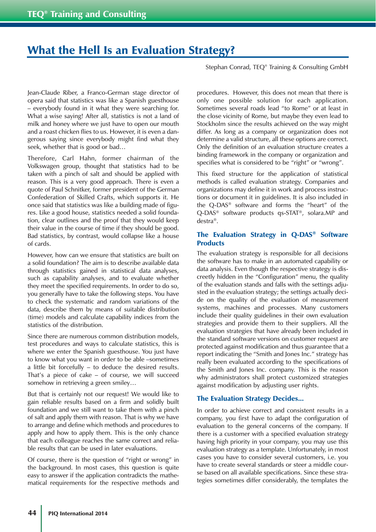# What the Hell Is an Evaluation Strategy?

Stephan Conrad, TEQ® Training & Consulting GmbH

Jean-Claude Riber, a Franco-German stage director of opera said that statistics was like a Spanish guesthouse – everybody found in it what they were searching for. What a wise saying! After all, statistics is not a land of milk and honey where we just have to open our mouth and a roast chicken flies to us. However, it is even a dangerous saying since everybody might find what they seek, whether that is good or bad…

Therefore, Carl Hahn, former chairman of the Volkswagen group, thought that statistics had to be taken with a pinch of salt and should be applied with reason. This is a very good approach. There is even a quote of Paul Schnitker, former president of the German Confederation of Skilled Crafts, which supports it. He once said that statistics was like a building made of figures. Like a good house, statistics needed a solid foundation, clear outlines and the proof that they would keep their value in the course of time if they should be good. Bad statistics, by contrast, would collapse like a house of cards.

However, how can we ensure that statistics are built on a solid foundation? The aim is to describe available data through statistics gained in statistical data analyses, such as capability analyses, and to evaluate whether they meet the specified requirements. In order to do so, you generally have to take the following steps. You have to check the systematic and random variations of the data, describe them by means of suitable distribution (time) models and calculate capability indices from the statistics of the distribution.

Since there are numerous common distribution models, test procedures and ways to calculate statistics, this is where we enter the Spanish guesthouse. You just have to know what you want in order to be able –sometimes a little bit forcefully – to deduce the desired results. That's a piece of cake – of course, we will succeed somehow in retrieving a green smiley…

But that is certainly not our request! We would like to gain reliable results based on a firm and solidly built foundation and we still want to take them with a pinch of salt and apply them with reason. That is why we have to arrange and define which methods and procedures to apply and how to apply them. This is the only chance that each colleague reaches the same correct and reliable results that can be used in later evaluations.

Of course, there is the question of "right or wrong" in the background. In most cases, this question is quite easy to answer if the application contradicts the mathematical requirements for the respective methods and procedures. However, this does not mean that there is only one possible solution for each application. Sometimes several roads lead "to Rome" or at least in the close vicinity of Rome, but maybe they even lead to Stockholm since the results achieved on the way might differ. As long as a company or organization does not determine a valid structure, all these options are correct. Only the definition of an evaluation structure creates a binding framework in the company or organization and specifies what is considered to be "right" or "wrong".

This fixed structure for the application of statistical methods is called evaluation strategy. Companies and organizations may define it in work and process instructions or document it in guidelines. It is also included in the Q-DAS® software and forms the "heart" of the Q-DAS® software products qs-STAT®, solara.MP and destra®.

## The Evaluation Strategy in Q-DAS® Software **Products**

The evaluation strategy is responsible for all decisions the software has to make in an automated capability or data analysis. Even though the respective strategy is discreetly hidden in the "Configuration" menu, the quality of the evaluation stands and falls with the settings adjusted in the evaluation strategy; the settings actually decide on the quality of the evaluation of measurement systems, machines and processes. Many customers include their quality guidelines in their own evaluation strategies and provide them to their suppliers. All the evaluation strategies that have already been included in the standard software versions on customer request are protected against modification and thus guarantee that a report indicating the "Smith and Jones Inc." strategy has really been evaluated according to the specifications of the Smith and Jones Inc. company. This is the reason why administrators shall protect customized strategies against modification by adjusting user rights.

### The Evaluation Strategy Decides...

In order to achieve correct and consistent results in a company, you first have to adapt the configuration of evaluation to the general concerns of the company. If there is a customer with a specified evaluation strategy having high priority in your company, you may use this evaluation strategy as a template. Unfortunately, in most cases you have to consider several customers, i.e. you have to create several standards or steer a middle course based on all available specifications. Since these strategies sometimes differ considerably, the templates the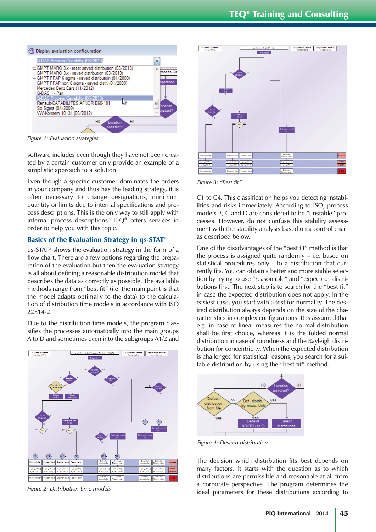

*Figure 1: Evaluation strategies*

software includes even though they have not been created by a certain customer only provide an example of a simplistic approach to a solution.

Even though a specific customer dominates the orders in your company and thus has the leading strategy, it is often necessary to change designations, minimum quantity or limits due to internal specifications and process descriptions. This is the only way to still apply with internal process descriptions. TEQ® offers services in order to help you with this topic.

#### Basics of the Evaluation Strategy in qs-STAT®

qs-STAT® shows the evaluation strategy in the form of a flow chart. There are a few options regarding the preparation of the evaluation but then the evaluation strategy is all about defining a reasonable distribution model that describes the data as correctly as possible. The available methods range from "best fit" (i.e. the main point is that the model adapts optimally to the data) to the calculation of distribution time models in accordance with ISO 22514-2.

Due to the distribution time models, the program classifies the processes automatically into the main groups A to D and sometimes even into the subgroups A1/2 and



*Figure 2: Distribution time models*



*Figure 3: "Best fit"*

C1 to C4. This classification helps you detecting instabilities and risks immediately. According to ISO, process models B, C and D are considered to be "unstable" processes. However, do not confuse this stability assessment with the stability analysis based on a control chart as described below.

One of the disadvantages of the "best fit" method is that the process is assigned quite randomly – i.e. based on statistical procedures only - to a distribution that currently fits. You can obtain a better and more stable selection by trying to use "reasonable" and "expected" distributions first. The next step is to search for the "best fit" in case the expected distribution does not apply. In the easiest case, you start with a test for normality. The desired distribution always depends on the size of the characteristics in complex configurations. It is assumed that e.g. in case of linear measures the normal distribution shall be first choice, whereas it is the folded normal distribution in case of roundness and the Rayleigh distribution for concentricity. When the expected distribution is challenged for statistical reasons, you search for a suitable distribution by using the "best fit" method.



*Figure 4: Desired distribution*

The decision which distribution fits best depends on many factors. It starts with the question as to which distributions are permissible and reasonable at all from a corporate perspective. The program determines the ideal parameters for these distributions according to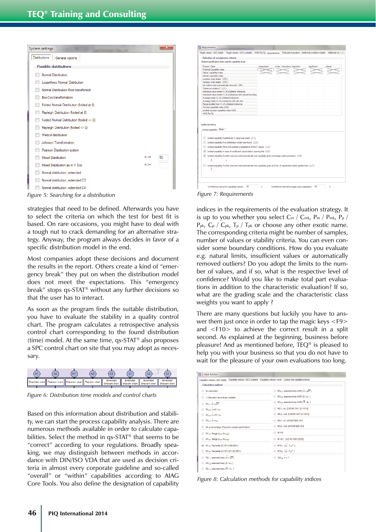

*Figure 5: Searching for a distribution Figure 7: Requirements*

strategies that need to be defined. Afterwards you have to select the criteria on which the test for best fit is based. On rare occasions, you might have to deal with a tough nut to crack demanding for an alternative strategy. Anyway, the program always decides in favor of a specific distribution model in the end.

Most companies adopt these decisions and document the results in the report. Others create a kind of "emergency break" they put on when the distribution model does not meet the expectations. This "emergency break" stops qs-STAT® without any further decisions so that the user has to interact.

As soon as the program finds the suitable distribution, you have to evaluate the stability in a quality control chart. The program calculates a retrospective analysis control chart corresponding to the found distribution (time) model. At the same time, qs-STAT® also proposes a SPC control chart on site that you may adopt as necessary.



*Figure 6: Distribution time models and control charts*

Based on this information about distribution and stability, we can start the process capability analysis. There are numerous methods available in order to calculate capabilities. Select the method in qs-STAT® that seems to be "correct" according to your regulations. Broadly speaking, we may distinguish between methods in accordance with DIN/ISO VDA that are used as decision criteria in almost every corporate guideline and so-called "overall" or "within" capabilities according to AIAG Core Tools. You also define the designation of capability



indices in the requirements of the evaluation strategy. It is up to you whether you select Cm / Cmk, Pm / Pmk, Pp /  $P_{pk}$ ,  $C_p$  /  $C_{pk}$ ,  $T_p$  /  $T_{pk}$  or choose any other exotic name. The corresponding criteria might be number of samples, number of values or stability criteria. You can even consider some boundary conditions. How do you evaluate e.g. natural limits, insufficient values or automatically removed outliers? Do you adopt the limits to the number of values, and if so, what is the respective level of confidence? Would you like to make total part evaluations in addition to the characteristic evaluation? If so, what are the grading scale and the characteristic class weights you want to apply ?

There are many questions but luckily you have to answer them just once in order to tap the magic keys <F9> and <F10> to achieve the correct result in a split second. As explained at the beginning, business before pleasure! And as mentioned before, TEQ® is pleased to help you with your business so that you do not have to wait for the pleasure of your own evaluations too long.

| Capability indices / QCC stable Capability indices / QCC unstable Capability indices / inner custom text capability indices |                                                                     |
|-----------------------------------------------------------------------------------------------------------------------------|---------------------------------------------------------------------|
| <b>Calculation method</b>                                                                                                   |                                                                     |
| No calculation                                                                                                              | $M3_{4.1}$ extended limits AMM [ $\sigma = \sqrt{s^2}$ ]<br>$\circ$ |
| > Calcuation accordingly unstable                                                                                           | M342 extended limits AMM [8 / an 1                                  |
| $M1_{41}$ $\sigma = \sqrt{\sigma^2}$                                                                                        | M3 <sub>44</sub> extended limits AMM [R / d <sub>n</sub> ]          |
| $M1_{42}$ $0 = 5/an$                                                                                                        | MC11 nd ICNOMO E41.32.110.NI                                        |
| $M1_{43}$ $\overset{\frown}{\sigma}$ = $\overline{R}/d_{\sigma}$                                                            | MC2 <sub>1</sub> nnd [CNOMO E41.32.120.N]                           |
| $M1_{44}$ $\sigma$ = $s_{xx}$                                                                                               | MA1 <sub>1</sub> nd [AFNOR E60-181]                                 |
| M4 p percentage (Proportion outside specification)                                                                          | MA2+ nnd IAFNOR E60-1811                                            |
| M1 <sub>1.5</sub> Range (x <sub>min</sub> -x-x <sub>max</sub> )                                                             | M-VW                                                                |
| M125 Range (xmin XXmax)                                                                                                     | M VK1 [QZ 45,1000 (2000)]                                           |
| M1 <sub>14</sub> Percentile (0.135% $\bar{\kappa}$ -99.865%)<br>$\circ$                                                     | $M10$ <sub>1</sub> $[$ $($ u · T <sub>m</sub> $)^2$ ]               |
| M1as Percentile (0,135%-50%-99,865%)                                                                                        | $M10_2$ $[4 \cdot T_2)^2$ ]                                         |
| $M2_{1,1}$ extended limits $\overline{1 \sigma} = \sqrt{\overline{s}^2}$ 1                                                  | $GM_{cm}$ $\sigma$ = ?<br>$\circ$                                   |
| M2 <sub>12</sub> extended limits [8/a <sub>n</sub> ]                                                                        |                                                                     |
| M2 <sub>13</sub> extended limits [R / d <sub>n</sub> ]                                                                      |                                                                     |

*Figure 8: Calculation methods for capability indices*